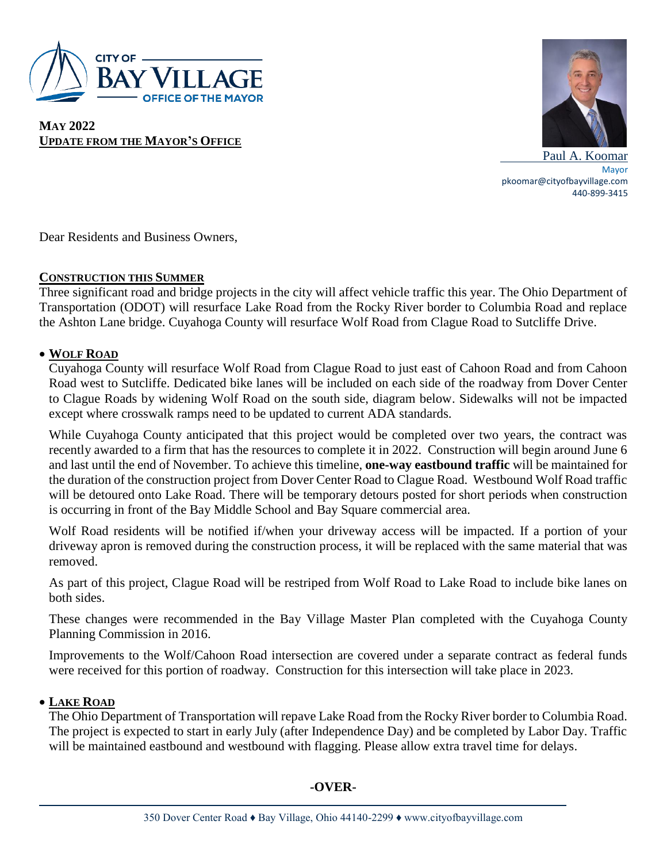

**MAY 2022 UPDATE FROM THE MAYOR'S OFFICE**



 Paul A. Koomar Mayor pkoomar@cityofbayvillage.com 440-899-3415

Dear Residents and Business Owners,

### **CONSTRUCTION THIS SUMMER**

Three significant road and bridge projects in the city will affect vehicle traffic this year. The Ohio Department of Transportation (ODOT) will resurface Lake Road from the Rocky River border to Columbia Road and replace the Ashton Lane bridge. Cuyahoga County will resurface Wolf Road from Clague Road to Sutcliffe Drive.

# **WOLF ROAD**

Cuyahoga County will resurface Wolf Road from Clague Road to just east of Cahoon Road and from Cahoon Road west to Sutcliffe. Dedicated bike lanes will be included on each side of the roadway from Dover Center to Clague Roads by widening Wolf Road on the south side, diagram below. Sidewalks will not be impacted except where crosswalk ramps need to be updated to current ADA standards.

While Cuyahoga County anticipated that this project would be completed over two years, the contract was recently awarded to a firm that has the resources to complete it in 2022. Construction will begin around June 6 and last until the end of November. To achieve this timeline, **one-way eastbound traffic** will be maintained for the duration of the construction project from Dover Center Road to Clague Road. Westbound Wolf Road traffic will be detoured onto Lake Road. There will be temporary detours posted for short periods when construction is occurring in front of the Bay Middle School and Bay Square commercial area.

Wolf Road residents will be notified if/when your driveway access will be impacted. If a portion of your driveway apron is removed during the construction process, it will be replaced with the same material that was removed.

As part of this project, Clague Road will be restriped from Wolf Road to Lake Road to include bike lanes on both sides.

These changes were recommended in the Bay Village Master Plan completed with the Cuyahoga County Planning Commission in 2016.

Improvements to the Wolf/Cahoon Road intersection are covered under a separate contract as federal funds were received for this portion of roadway. Construction for this intersection will take place in 2023.

# **LAKE ROAD**

The Ohio Department of Transportation will repave Lake Road from the Rocky River border to Columbia Road. The project is expected to start in early July (after Independence Day) and be completed by Labor Day. Traffic will be maintained eastbound and westbound with flagging. Please allow extra travel time for delays.

# **-OVER-**